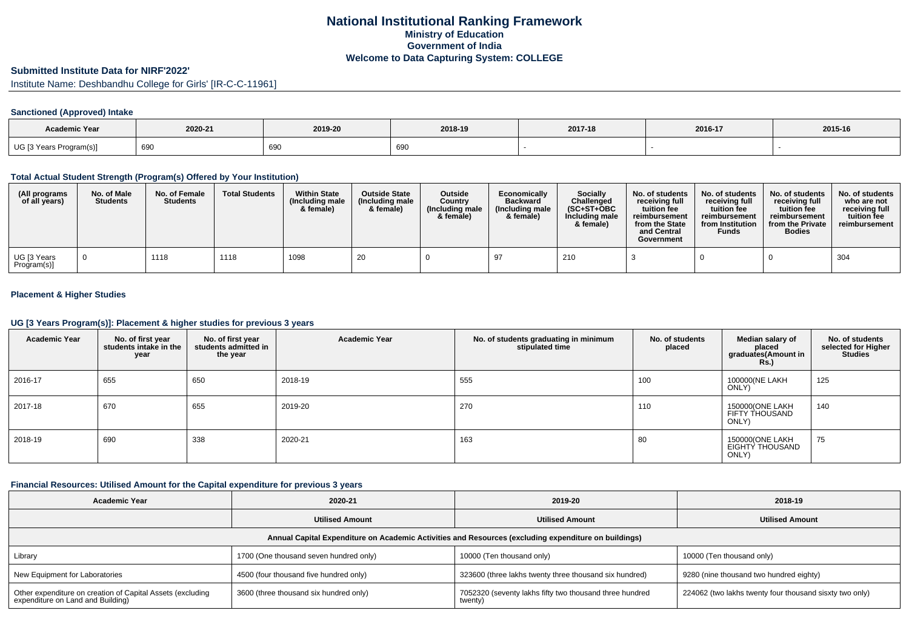## **National Institutional Ranking FrameworkMinistry of Education Government of IndiaWelcome to Data Capturing System: COLLEGE**

# **Submitted Institute Data for NIRF'2022'**

Institute Name: Deshbandhu College for Girls' [IR-C-C-11961]

## **Sanctioned (Approved) Intake**

| <b>Academic Year</b>    | 2020-21 | 2019-20 | 2018-19        | 2017-18 | 2016-17 | 2015-16 |
|-------------------------|---------|---------|----------------|---------|---------|---------|
| UG [3 Years Program(s)] | 690     | 690     | $\sim$<br>้งฯเ |         |         |         |

#### **Total Actual Student Strength (Program(s) Offered by Your Institution)**

| (All programs<br>of all years) | No. of Male<br><b>Students</b> | No. of Female<br><b>Students</b> | <b>Total Students</b> | <b>Within State</b><br>(Including male<br>& female) | <b>Outside State</b><br>(Including male<br>& female) | <b>Outside</b><br>Country<br>(Including male<br>& female) | Economically<br><b>Backward</b><br>(Including male)<br>& female) | <b>Socially</b><br>Challenged<br>$(SC+ST+OBC)$<br>Including male<br>& female) | No. of students<br>receivina full<br>tuition fee<br>reimbursement<br>from the State<br>and Central<br>Government | No. of students<br>receiving full<br>tuition fee<br>reimbursement<br>from Institution<br><b>Funds</b> | No. of students<br>receiving full<br>tuition fee<br>reimbursement<br>from the Private<br><b>Bodies</b> | No. of students<br>who are not<br>receiving full<br>tuition fee<br>reimbursement |
|--------------------------------|--------------------------------|----------------------------------|-----------------------|-----------------------------------------------------|------------------------------------------------------|-----------------------------------------------------------|------------------------------------------------------------------|-------------------------------------------------------------------------------|------------------------------------------------------------------------------------------------------------------|-------------------------------------------------------------------------------------------------------|--------------------------------------------------------------------------------------------------------|----------------------------------------------------------------------------------|
| UG [3 Years<br>Program(s)]     |                                | 1118                             | 1118                  | 1098                                                | 20                                                   |                                                           |                                                                  | 210                                                                           |                                                                                                                  |                                                                                                       |                                                                                                        | 304                                                                              |

## **Placement & Higher Studies**

#### **UG [3 Years Program(s)]: Placement & higher studies for previous 3 years**

| <b>Academic Year</b> | No. of first year<br>students intake in the<br>year | No. of first year<br>students admitted in<br>the year | <b>Academic Year</b> | No. of students graduating in minimum<br>stipulated time | No. of students<br>placed | Median salary of<br>placed<br>graduates(Amount in<br>Rs. | No. of students<br>selected for Higher<br><b>Studies</b> |
|----------------------|-----------------------------------------------------|-------------------------------------------------------|----------------------|----------------------------------------------------------|---------------------------|----------------------------------------------------------|----------------------------------------------------------|
| 2016-17              | 655                                                 | 650                                                   | 2018-19              | 555                                                      | 100                       | 100000(NE LAKH<br>ONLY)                                  | 125                                                      |
| 2017-18              | 670                                                 | 655                                                   | 2019-20              | 270                                                      | 110                       | 150000(ONE LAKH<br>FIFTY THOUSAND<br>ONLY)               | 140                                                      |
| 2018-19              | 690                                                 | 338                                                   | 2020-21              | 163                                                      | 80                        | 150000(ONE LAKH<br>EIGHTY THOUSAND<br>ONLY)              | 75                                                       |

## **Financial Resources: Utilised Amount for the Capital expenditure for previous 3 years**

| <b>Academic Year</b>                                                                                 | 2020-21                                | 2019-20                                                            | 2018-19                                                 |  |  |  |  |  |  |  |
|------------------------------------------------------------------------------------------------------|----------------------------------------|--------------------------------------------------------------------|---------------------------------------------------------|--|--|--|--|--|--|--|
|                                                                                                      | <b>Utilised Amount</b>                 | <b>Utilised Amount</b>                                             | <b>Utilised Amount</b>                                  |  |  |  |  |  |  |  |
| Annual Capital Expenditure on Academic Activities and Resources (excluding expenditure on buildings) |                                        |                                                                    |                                                         |  |  |  |  |  |  |  |
| Library                                                                                              | 1700 (One thousand seven hundred only) | 10000 (Ten thousand only)                                          | 10000 (Ten thousand only)                               |  |  |  |  |  |  |  |
| New Equipment for Laboratories                                                                       | 4500 (four thousand five hundred only) | 323600 (three lakhs twenty three thousand six hundred)             | 9280 (nine thousand two hundred eighty)                 |  |  |  |  |  |  |  |
| Other expenditure on creation of Capital Assets (excluding<br>expenditure on Land and Building)      | 3600 (three thousand six hundred only) | 7052320 (seventy lakhs fifty two thousand three hundred<br>twenty) | 224062 (two lakhs twenty four thousand sisxty two only) |  |  |  |  |  |  |  |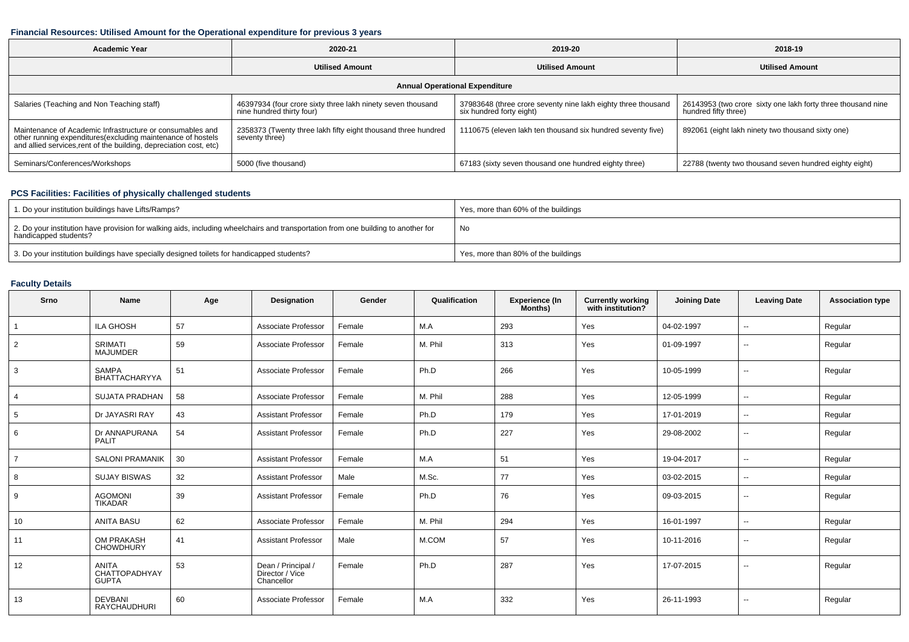### **Financial Resources: Utilised Amount for the Operational expenditure for previous 3 years**

| <b>Academic Year</b>                                                                                                                                                                          | 2020-21                                                                                  | 2019-20                                                                                   | 2018-19                                                                              |  |  |  |  |  |  |
|-----------------------------------------------------------------------------------------------------------------------------------------------------------------------------------------------|------------------------------------------------------------------------------------------|-------------------------------------------------------------------------------------------|--------------------------------------------------------------------------------------|--|--|--|--|--|--|
|                                                                                                                                                                                               | <b>Utilised Amount</b>                                                                   | <b>Utilised Amount</b>                                                                    | <b>Utilised Amount</b>                                                               |  |  |  |  |  |  |
| <b>Annual Operational Expenditure</b>                                                                                                                                                         |                                                                                          |                                                                                           |                                                                                      |  |  |  |  |  |  |
| Salaries (Teaching and Non Teaching staff)                                                                                                                                                    | 46397934 (four crore sixty three lakh ninety seven thousand<br>nine hundred thirty four) | 37983648 (three crore seventy nine lakh eighty three thousand<br>six hundred forty eight) | 26143953 (two crore sixty one lakh forty three thousand nine<br>hundred fifty three) |  |  |  |  |  |  |
| Maintenance of Academic Infrastructure or consumables and<br>other running expenditures(excluding maintenance of hostels<br>and allied services,rent of the building, depreciation cost, etc) | 2358373 (Twenty three lakh fifty eight thousand three hundred<br>seventy three)          | 1110675 (eleven lakh ten thousand six hundred seventy five)                               | 892061 (eight lakh ninety two thousand sixty one)                                    |  |  |  |  |  |  |
| Seminars/Conferences/Workshops                                                                                                                                                                | 5000 (five thousand)                                                                     | 67183 (sixty seven thousand one hundred eighty three)                                     | 22788 (twenty two thousand seven hundred eighty eight)                               |  |  |  |  |  |  |

## **PCS Facilities: Facilities of physically challenged students**

| 1. Do your institution buildings have Lifts/Ramps?                                                                                                         | Yes, more than 60% of the buildings |
|------------------------------------------------------------------------------------------------------------------------------------------------------------|-------------------------------------|
| 2. Do your institution have provision for walking aids, including wheelchairs and transportation from one building to another for<br>handicapped students? | No                                  |
| 3. Do your institution buildings have specially designed toilets for handicapped students?                                                                 | Yes, more than 80% of the buildings |

## **Faculty Details**

| Srno            | Name                                          | Age | <b>Designation</b>                                  | Gender | Qualification | <b>Experience (In</b><br>Months) | <b>Currently working</b><br>with institution? | <b>Joining Date</b> | <b>Leaving Date</b>      | <b>Association type</b> |
|-----------------|-----------------------------------------------|-----|-----------------------------------------------------|--------|---------------|----------------------------------|-----------------------------------------------|---------------------|--------------------------|-------------------------|
| $\overline{1}$  | ILA GHOSH                                     | 57  | Associate Professor                                 | Female | M.A           | 293                              | Yes                                           | 04-02-1997          | $\overline{a}$           | Regular                 |
| $\overline{2}$  | <b>SRIMATI</b><br><b>MAJUMDER</b>             | 59  | Associate Professor                                 | Female | M. Phil       | 313                              | Yes                                           | 01-09-1997          | $\overline{\phantom{a}}$ | Regular                 |
| 3               | SAMPA<br><b>BHATTACHARYYA</b>                 | 51  | Associate Professor                                 | Female | Ph.D          | 266                              | Yes                                           | 10-05-1999          | $\mathbf{u}$             | Regular                 |
| $\overline{4}$  | SUJATA PRADHAN                                | 58  | Associate Professor                                 | Female | M. Phil       | 288                              | Yes                                           | 12-05-1999          | $\sim$                   | Regular                 |
| $5\overline{5}$ | Dr JAYASRI RAY                                | 43  | <b>Assistant Professor</b>                          | Female | Ph.D          | 179                              | Yes                                           | 17-01-2019          | $\sim$                   | Regular                 |
| 6               | Dr ANNAPURANA<br>PALIT                        | 54  | <b>Assistant Professor</b>                          | Female | Ph.D          | 227                              | Yes                                           | 29-08-2002          | $\sim$                   | Regular                 |
| $\overline{7}$  | <b>SALONI PRAMANIK</b>                        | 30  | <b>Assistant Professor</b>                          | Female | M.A           | 51                               | Yes                                           | 19-04-2017          | $\overline{\phantom{a}}$ | Regular                 |
| 8               | <b>SUJAY BISWAS</b>                           | 32  | <b>Assistant Professor</b>                          | Male   | M.Sc.         | 77                               | Yes                                           | 03-02-2015          | $\sim$                   | Regular                 |
| 9               | <b>AGOMONI</b><br><b>TIKADAR</b>              | 39  | <b>Assistant Professor</b>                          | Female | Ph.D          | 76                               | Yes                                           | 09-03-2015          | $\overline{\phantom{a}}$ | Regular                 |
| 10              | <b>ANITA BASU</b>                             | 62  | Associate Professor                                 | Female | M. Phil       | 294                              | Yes                                           | 16-01-1997          | $\overline{\phantom{a}}$ | Regular                 |
| 11              | OM PRAKASH<br><b>CHOWDHURY</b>                | 41  | <b>Assistant Professor</b>                          | Male   | M.COM         | 57                               | Yes                                           | 10-11-2016          | $\sim$                   | Regular                 |
| 12              | <b>ANITA</b><br>CHATTOPADHYAY<br><b>GUPTA</b> | 53  | Dean / Principal /<br>Director / Vice<br>Chancellor | Female | Ph.D          | 287                              | Yes                                           | 17-07-2015          | $\sim$                   | Regular                 |
| 13              | <b>DEVBANI</b><br><b>RAYCHAUDHURI</b>         | 60  | Associate Professor                                 | Female | M.A           | 332                              | Yes                                           | 26-11-1993          | $\overline{\phantom{a}}$ | Regular                 |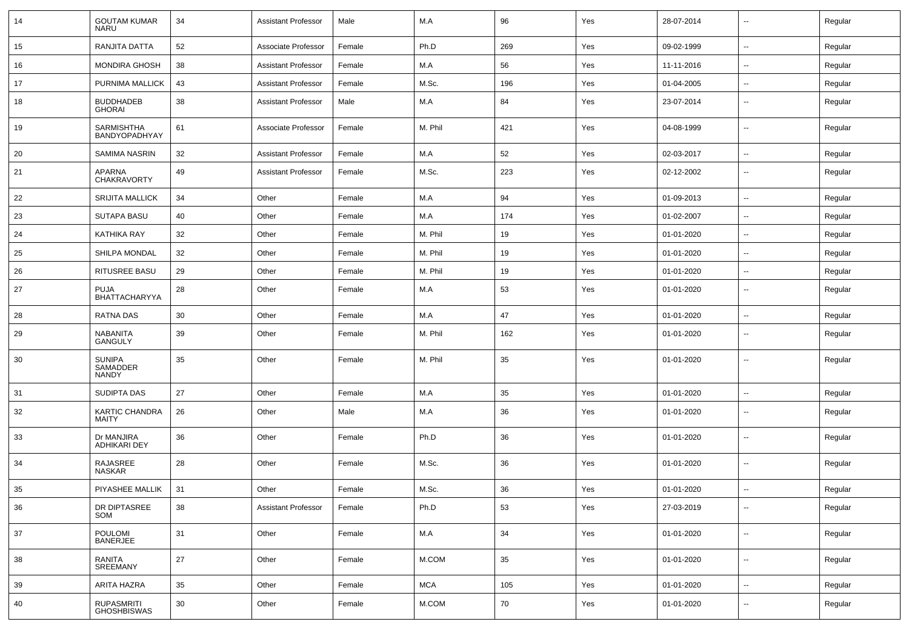| 14 | <b>GOUTAM KUMAR</b><br><b>NARU</b>        | 34 | <b>Assistant Professor</b> | Male   | M.A        | 96  | Yes | 28-07-2014 | $\overline{\phantom{a}}$ | Regular |
|----|-------------------------------------------|----|----------------------------|--------|------------|-----|-----|------------|--------------------------|---------|
| 15 | RANJITA DATTA                             | 52 | Associate Professor        | Female | Ph.D       | 269 | Yes | 09-02-1999 | ⊷.                       | Regular |
| 16 | <b>MONDIRA GHOSH</b>                      | 38 | <b>Assistant Professor</b> | Female | M.A        | 56  | Yes | 11-11-2016 | $\overline{\phantom{a}}$ | Regular |
| 17 | PURNIMA MALLICK                           | 43 | <b>Assistant Professor</b> | Female | M.Sc.      | 196 | Yes | 01-04-2005 | $\overline{\phantom{a}}$ | Regular |
| 18 | <b>BUDDHADEB</b><br>GHORAI                | 38 | <b>Assistant Professor</b> | Male   | M.A        | 84  | Yes | 23-07-2014 | ⊷                        | Regular |
| 19 | SARMISHTHA<br>BANDYOPADHYAY               | 61 | Associate Professor        | Female | M. Phil    | 421 | Yes | 04-08-1999 | --                       | Regular |
| 20 | SAMIMA NASRIN                             | 32 | <b>Assistant Professor</b> | Female | M.A        | 52  | Yes | 02-03-2017 | ⊷.                       | Regular |
| 21 | APARNA<br><b>CHAKRAVORTY</b>              | 49 | <b>Assistant Professor</b> | Female | M.Sc.      | 223 | Yes | 02-12-2002 | $\overline{\phantom{a}}$ | Regular |
| 22 | <b>SRIJITA MALLICK</b>                    | 34 | Other                      | Female | M.A        | 94  | Yes | 01-09-2013 | ⊷.                       | Regular |
| 23 | <b>SUTAPA BASU</b>                        | 40 | Other                      | Female | M.A        | 174 | Yes | 01-02-2007 | ⊷.                       | Regular |
| 24 | KATHIKA RAY                               | 32 | Other                      | Female | M. Phil    | 19  | Yes | 01-01-2020 | ⊷.                       | Regular |
| 25 | <b>SHILPA MONDAL</b>                      | 32 | Other                      | Female | M. Phil    | 19  | Yes | 01-01-2020 | $\overline{\phantom{a}}$ | Regular |
| 26 | RITUSREE BASU                             | 29 | Other                      | Female | M. Phil    | 19  | Yes | 01-01-2020 | --                       | Regular |
| 27 | <b>PUJA</b><br>BHATTACHARYYA              | 28 | Other                      | Female | M.A        | 53  | Yes | 01-01-2020 | --                       | Regular |
| 28 | <b>RATNA DAS</b>                          | 30 | Other                      | Female | M.A        | 47  | Yes | 01-01-2020 | ⊷.                       | Regular |
| 29 | <b>NABANITA</b><br>GANGULY                | 39 | Other                      | Female | M. Phil    | 162 | Yes | 01-01-2020 | $\overline{\phantom{a}}$ | Regular |
| 30 | <b>SUNIPA</b><br>SAMADDER<br><b>NANDY</b> | 35 | Other                      | Female | M. Phil    | 35  | Yes | 01-01-2020 | $\overline{\phantom{a}}$ | Regular |
| 31 | <b>SUDIPTA DAS</b>                        | 27 | Other                      | Female | M.A        | 35  | Yes | 01-01-2020 | --                       | Regular |
| 32 | <b>KARTIC CHANDRA</b><br>MAITY            | 26 | Other                      | Male   | M.A        | 36  | Yes | 01-01-2020 | ⊷.                       | Regular |
| 33 | Dr MANJIRA<br><b>ADHIKARI DEY</b>         | 36 | Other                      | Female | Ph.D       | 36  | Yes | 01-01-2020 | $\mathbf{u}$             | Regular |
| 34 | RAJASREE<br>NASKAR                        | 28 | Other                      | Female | M.Sc.      | 36  | Yes | 01-01-2020 | $\sim$                   | Regular |
| 35 | PIYASHEE MALLIK                           | 31 | Other                      | Female | M.Sc.      | 36  | Yes | 01-01-2020 | $\overline{\phantom{a}}$ | Regular |
| 36 | DR DIPTASREE<br>SOM                       | 38 | Assistant Professor        | Female | Ph.D       | 53  | Yes | 27-03-2019 | $\sim$                   | Regular |
| 37 | POULOMI<br>BANERJEE                       | 31 | Other                      | Female | M.A        | 34  | Yes | 01-01-2020 | $\sim$                   | Regular |
| 38 | RANITA<br>SREEMANY                        | 27 | Other                      | Female | M.COM      | 35  | Yes | 01-01-2020 | Щ,                       | Regular |
| 39 | <b>ARITA HAZRA</b>                        | 35 | Other                      | Female | <b>MCA</b> | 105 | Yes | 01-01-2020 | $\overline{\phantom{a}}$ | Regular |
| 40 | RUPASMRITI<br>GHOSHBISWAS                 | 30 | Other                      | Female | M.COM      | 70  | Yes | 01-01-2020 | $\overline{\phantom{a}}$ | Regular |